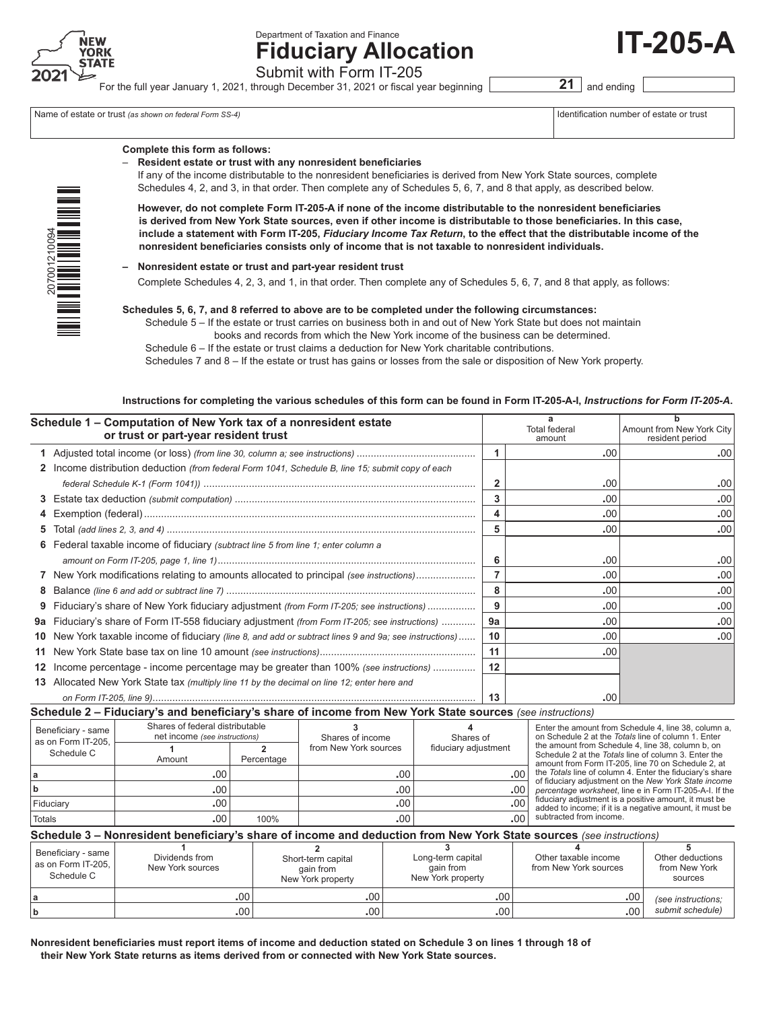

Department of Taxation and Finance

**Fiduciary Allocation** Submit with Form IT-205

For the full year January 1, 2021, through December 31, 2021 or fiscal year beginning **21** and ending

Name of estate or trust *(as shown on federal Form SS-4)* 

|  |  |  | Identification number of estate or trus |  |  |  |
|--|--|--|-----------------------------------------|--|--|--|
|  |  |  |                                         |  |  |  |

**IT-205-A**

| ī<br>ž<br>20700121009 |  |
|-----------------------|--|
|                       |  |

# **Complete this form as follows:**

– **Resident estate or trust with any nonresident beneficiaries**

 If any of the income distributable to the nonresident beneficiaries is derived from New York State sources, complete Schedules 4, 2, and 3, in that order. Then complete any of Schedules 5, 6, 7, and 8 that apply, as described below.

**However, do not complete Form IT-205-A if none of the income distributable to the nonresident beneficiaries is derived from New York State sources, even if other income is distributable to those beneficiaries. In this case, include a statement with Form IT-205,** *Fiduciary Income Tax Return***, to the effect that the distributable income of the nonresident beneficiaries consists only of income that is not taxable to nonresident individuals.**

#### **– Nonresident estate or trust and part-year resident trust**

Complete Schedules 4, 2, 3, and 1, in that order. Then complete any of Schedules 5, 6, 7, and 8 that apply, as follows:

#### **Schedules 5, 6, 7, and 8 referred to above are to be completed under the following circumstances:**

 Schedule 5 – If the estate or trust carries on business both in and out of New York State but does not maintain books and records from which the New York income of the business can be determined.

 Schedule 6 – If the estate or trust claims a deduction for New York charitable contributions.

 Schedules 7 and 8 – If the estate or trust has gains or losses from the sale or disposition of New York property.

#### **Instructions for completing the various schedules of this form can be found in Form IT-205-A-I,** *Instructions for Form IT‑205‑A***.**

|   | Schedule 1 - Computation of New York tax of a nonresident estate<br>or trust or part-year resident trust |    | a<br><b>Total federal</b><br>amount | Amount from New York City<br>resident period |
|---|----------------------------------------------------------------------------------------------------------|----|-------------------------------------|----------------------------------------------|
|   |                                                                                                          |    | .00                                 | .00                                          |
|   | 2 Income distribution deduction (from federal Form 1041, Schedule B, line 15; submit copy of each        |    |                                     |                                              |
|   |                                                                                                          | 2  | .00                                 | .00                                          |
|   |                                                                                                          | 3  | .00.                                | .00                                          |
|   |                                                                                                          | 4  | .00.                                | .00                                          |
|   |                                                                                                          | 5  | .00.                                | .00                                          |
|   | 6 Federal taxable income of fiduciary (subtract line 5 from line 1; enter column a                       |    |                                     |                                              |
|   |                                                                                                          | 6  | .00                                 | .00                                          |
|   | 7 New York modifications relating to amounts allocated to principal (see instructions)                   |    | .00                                 | .00                                          |
|   |                                                                                                          | 8  | .00                                 | .00                                          |
| 9 | Fiduciary's share of New York fiduciary adjustment <i>(from Form IT-205; see instructions)</i>           | 9  | .00.                                | .00                                          |
|   | 9a Fiduciary's share of Form IT-558 fiduciary adjustment (from Form IT-205; see instructions)            | 9a | .00.                                | .00                                          |
|   | 10 New York taxable income of fiduciary (line 8, and add or subtract lines 9 and 9a; see instructions)   | 10 | .00                                 | .00                                          |
|   |                                                                                                          | 11 | .00                                 |                                              |
|   | 12 Income percentage - income percentage may be greater than 100% (see instructions)                     | 12 |                                     |                                              |
|   | 13 Allocated New York State tax (multiply line 11 by the decimal on line 12; enter here and              |    |                                     |                                              |
|   |                                                                                                          | 13 | .00                                 |                                              |

**Schedule 2 – Fiduciary's and beneficiary's share of income from New York State sources** *(see instructions)*

| Beneficiary - same<br>as on Form IT-205. | Shares of federal distributable<br>net income (see instructions) |            | Shares of income      | Shares of            | Enter the amount from Schedule 4, line 38, column a.<br>on Schedule 2 at the Totals line of column 1. Enter<br>the amount from Schedule 4, line 38, column b, on |  |  |  |
|------------------------------------------|------------------------------------------------------------------|------------|-----------------------|----------------------|------------------------------------------------------------------------------------------------------------------------------------------------------------------|--|--|--|
| Schedule C                               | Amount                                                           | Percentage | from New York sources | fiduciary adjustment | Schedule 2 at the Totals line of column 3. Enter the<br>amount from Form IT-205, line 70 on Schedule 2, at                                                       |  |  |  |
|                                          | .00<br>.00 <sup>1</sup><br>.00 <sup>1</sup>                      |            | .00.                  | .001                 | the Totals line of column 4. Enter the fiduciary's share<br>of fiduciary adjustment on the New York State income                                                 |  |  |  |
|                                          |                                                                  |            | .00.                  | .001                 | percentage worksheet, line e in Form IT-205-A-I. If the                                                                                                          |  |  |  |
| Fiduciarv                                |                                                                  |            | .00.                  | .00                  | fiduciary adjustment is a positive amount, it must be<br>added to income; if it is a negative amount, it must be                                                 |  |  |  |
| Totals                                   | .00 <sup>1</sup>                                                 | 100%       | .00                   | ا ۵۵.                | subtracted from income.                                                                                                                                          |  |  |  |

#### **Schedule 3 – Nonresident beneficiary's share of income and deduction from New York State sources** *(see instructions)* **<sup>a</sup> .**00 **.**00 **.**00 **.**00 **<sup>b</sup> .**00 **.**00 **.**00 **.**00 *(see instructions; submit schedule)* **4** Other taxable income from New York sources **5** Other deductions from New York sources **3** Long-term capital gain from New York property **2** Short-term capital gain from New York property **1** Dividends from New York sources Beneficiary - same as on Form IT-205, Schedule C

**Nonresident beneficiaries must report items of income and deduction stated on Schedule 3 on lines 1 through 18 of their New York State returns as items derived from or connected with New York State sources.**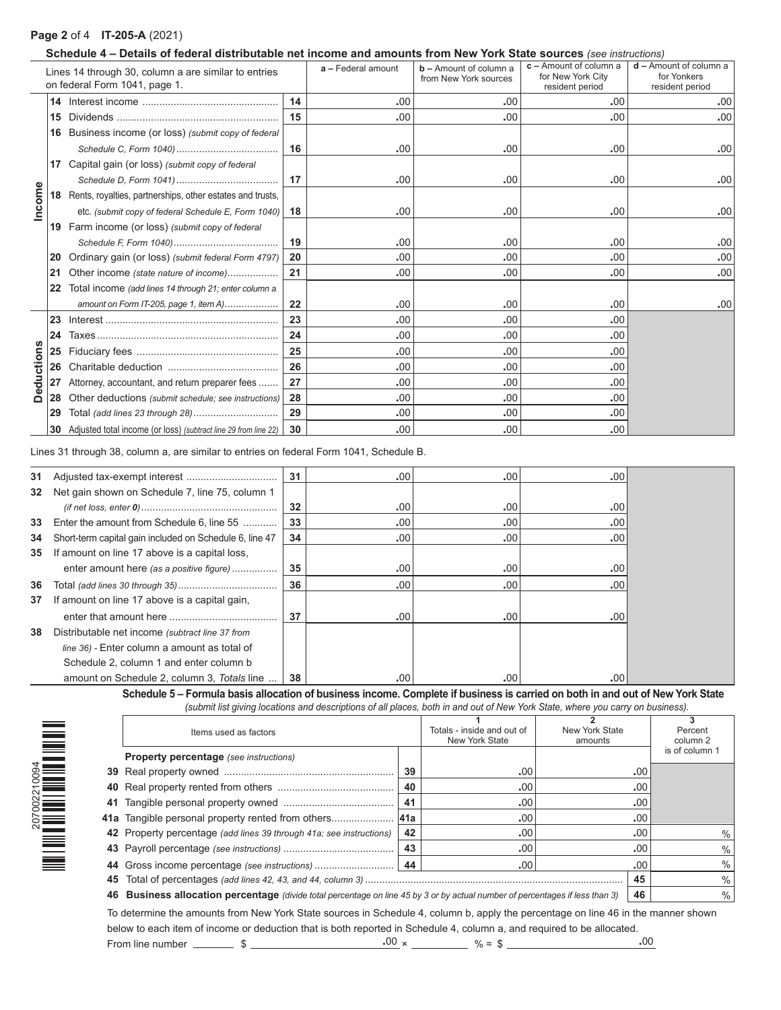# **Page 2** of 4 **IT-205-A** (2021)

207002210094

 $\begin{tabular}{|c|c|c|c|c|} \hline \multicolumn{3}{|c|}{\multicolumn{3}{c|}{\multicolumn{3}{c|}{\multicolumn{3}{c|}{\multicolumn{3}{c|}{\multicolumn{3}{c|}{\multicolumn{3}{c|}{\multicolumn{3}{c|}{\multicolumn{3}{c|}{\multicolumn{3}{c|}{\multicolumn{3}{c|}{\multicolumn{3}{c|}{\multicolumn{3}{c|}{\multicolumn{3}{c|}{\multicolumn{3}{c|}{\multicolumn{3}{c|}{\multicolumn{3}{c|}{\multicolumn{3}{c|}{\multicolumn{3}{c|}{\multicolumn{3}{c$ 

## **Schedule 4 – Details of federal distributable net income and amounts from New York State sources** *(see instructions)*

| Lines 14 through 30, column a are similar to entries<br>on federal Form 1041, page 1. |    |                                                                     |    | a - Federal amount | $b -$ Amount of column a<br>from New York sources | $c -$ Amount of column a<br>for New York City<br>resident period | $d$ – Amount of column a<br>for Yonkers<br>resident period |
|---------------------------------------------------------------------------------------|----|---------------------------------------------------------------------|----|--------------------|---------------------------------------------------|------------------------------------------------------------------|------------------------------------------------------------|
|                                                                                       | 14 |                                                                     | 14 | .00                | .00                                               | .00                                                              | .00                                                        |
|                                                                                       | 15 |                                                                     | 15 | .00                | .00                                               | .00                                                              | .00                                                        |
|                                                                                       | 16 | Business income (or loss) (submit copy of federal                   |    |                    |                                                   |                                                                  |                                                            |
|                                                                                       |    |                                                                     | 16 | .00                | .00                                               | .00                                                              | .00                                                        |
|                                                                                       |    | Capital gain (or loss) (submit copy of federal                      |    |                    |                                                   |                                                                  |                                                            |
|                                                                                       |    |                                                                     | 17 | .00                | .00                                               | .00                                                              | .00                                                        |
| Income                                                                                |    | <b>18</b> Rents, royalties, partnerships, other estates and trusts, |    |                    |                                                   |                                                                  |                                                            |
|                                                                                       |    | etc. (submit copy of federal Schedule E, Form 1040)                 | 18 | .00                | .00                                               | .00                                                              | .00                                                        |
|                                                                                       |    | 19 Farm income (or loss) (submit copy of federal                    |    |                    |                                                   |                                                                  |                                                            |
|                                                                                       |    |                                                                     | 19 | .00                | .00                                               | .00                                                              | .00                                                        |
|                                                                                       | 20 | 20<br>Ordinary gain (or loss) (submit federal Form 4797)            |    | .00                | .00                                               | .00                                                              | .00                                                        |
|                                                                                       | 21 | Other income (state nature of income)                               | 21 | .00                | .00                                               | .00                                                              | .00                                                        |
|                                                                                       | 22 | Total income (add lines 14 through 21; enter column a               |    |                    |                                                   |                                                                  |                                                            |
|                                                                                       |    | amount on Form IT-205, page 1, item A)                              | 22 | .00                | .00                                               | .00                                                              | .00                                                        |
|                                                                                       | 23 |                                                                     | 23 | .00                | .00                                               | .00                                                              |                                                            |
|                                                                                       | 24 |                                                                     | 24 | .00                | .00                                               | .00                                                              |                                                            |
|                                                                                       | 25 |                                                                     | 25 | .00                | .00                                               | .00                                                              |                                                            |
|                                                                                       |    |                                                                     | 26 | .00                | .00                                               | .00                                                              |                                                            |
| eductions                                                                             | 27 | Attorney, accountant, and return preparer fees                      | 27 | .00                | .00                                               | .00                                                              |                                                            |
| $\Omega$                                                                              |    | 28 Other deductions (submit schedule; see instructions)             | 28 | .00                | .00                                               | .00                                                              |                                                            |
|                                                                                       | 29 |                                                                     | 29 | .00                | .00                                               | .00                                                              |                                                            |
|                                                                                       |    | 30 Adjusted total income (or loss) (subtract line 29 from line 22)  | 30 | .00                | .00                                               | .00                                                              |                                                            |

Lines 31 through 38, column a, are similar to entries on federal Form 1041, Schedule B.

| 31 |                                                         | 31 | .00 <sub>1</sub> | .00 | .00 |
|----|---------------------------------------------------------|----|------------------|-----|-----|
| 32 | Net gain shown on Schedule 7, line 75, column 1         |    |                  |     |     |
|    |                                                         | 32 | .00              | .00 | .00 |
| 33 | Enter the amount from Schedule 6, line 55               | 33 | .00              | .00 | .00 |
| 34 | Short-term capital gain included on Schedule 6, line 47 | 34 | .00 <sub>1</sub> | .00 | .00 |
| 35 | If amount on line 17 above is a capital loss,           |    |                  |     |     |
|    | enter amount here (as a positive figure)                | 35 | .00              | .00 | .00 |
| 36 |                                                         | 36 | .00              | .00 | .00 |
| 37 | If amount on line 17 above is a capital gain,           |    |                  |     |     |
|    |                                                         | 37 | .00              | .00 | .00 |
| 38 | Distributable net income (subtract line 37 from         |    |                  |     |     |
|    | line 36) - Enter column a amount as total of            |    |                  |     |     |
|    | Schedule 2, column 1 and enter column b                 |    |                  |     |     |
|    | amount on Schedule 2, column 3, Totals line             | 38 | .00              | .00 | .00 |

**Schedule 5 – Formula basis allocation of business income. Complete if business is carried on both in and out of New York State** *(submit list giving locations and descriptions of all places, both in and out of New York State, where you carry on business).*

|    | Items used as factors                                                                                                         |    | Totals - inside and out of | New York State |     | Percent        |
|----|-------------------------------------------------------------------------------------------------------------------------------|----|----------------------------|----------------|-----|----------------|
|    |                                                                                                                               |    | <b>New York State</b>      | amounts        |     | column 2       |
|    | <b>Property percentage</b> (see instructions)                                                                                 |    |                            |                |     | is of column 1 |
|    |                                                                                                                               | 39 | .00                        |                | .00 |                |
|    |                                                                                                                               | 40 | .00                        |                | .00 |                |
| 41 |                                                                                                                               | 41 | .00                        |                | .00 |                |
|    |                                                                                                                               |    | .00                        |                | .00 |                |
|    | 42 Property percentage (add lines 39 through 41a; see instructions)                                                           | 42 | .00                        |                | .00 | $\%$           |
|    |                                                                                                                               | 43 | .00                        |                | .00 | $\%$           |
|    |                                                                                                                               |    | .00                        |                | .00 | $\frac{0}{0}$  |
|    |                                                                                                                               |    | 45                         | $\frac{0}{0}$  |     |                |
|    | 46 Business allocation percentage (divide total percentage on line 45 by 3 or by actual number of percentages if less than 3) |    | 46                         | $\frac{0}{0}$  |     |                |

To determine the amounts from New York State sources in Schedule 4, column b, apply the percentage on line 46 in the manner shown below to each item of income or deduction that is both reported in Schedule 4, column a, and required to be allocated. From line number \$ **.**00 × % = \$ **.**00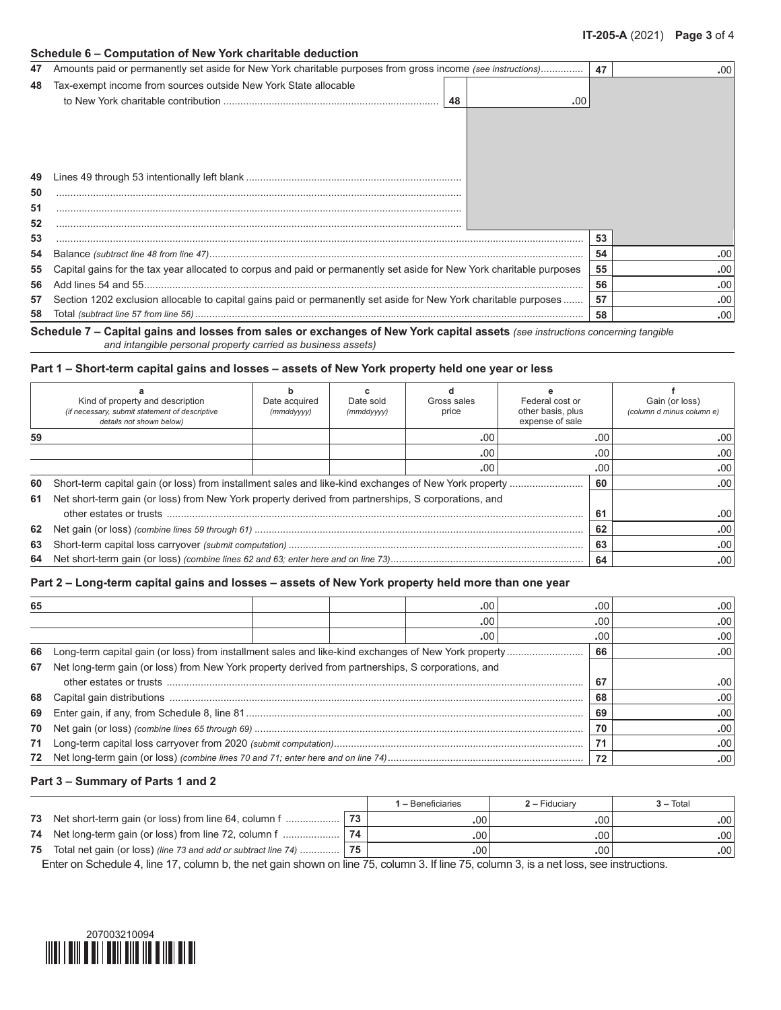#### **Schedule 6 – Computation of New York charitable deduction**

| 47 | Amounts paid or permanently set aside for New York charitable purposes from gross income (see instructions)           | 47 | .00 |
|----|-----------------------------------------------------------------------------------------------------------------------|----|-----|
| 48 | Tax-exempt income from sources outside New York State allocable                                                       |    |     |
|    | 48<br>.00                                                                                                             |    |     |
|    |                                                                                                                       |    |     |
|    |                                                                                                                       |    |     |
|    |                                                                                                                       |    |     |
|    |                                                                                                                       |    |     |
| 49 |                                                                                                                       |    |     |
| 50 |                                                                                                                       |    |     |
| 51 |                                                                                                                       |    |     |
| 52 |                                                                                                                       |    |     |
| 53 |                                                                                                                       | 53 |     |
| 54 |                                                                                                                       | 54 | .00 |
| 55 | Capital gains for the tax year allocated to corpus and paid or permanently set aside for New York charitable purposes | 55 | .00 |
| 56 |                                                                                                                       | 56 | .00 |
| 57 | Section 1202 exclusion allocable to capital gains paid or permanently set aside for New York charitable purposes      | 57 | .00 |
| 58 |                                                                                                                       | 58 | .00 |

**Schedule 7 – Capital gains and losses from sales or exchanges of New York capital assets** *(see instructions concerning tangible*

# *and intangible personal property carried as business assets)*

## **Part 1 – Short-term capital gains and losses – assets of New York property held one year or less**

|    | Kind of property and description<br>(if necessary, submit statement of descriptive<br>details not shown below) | Date acquired<br>(mmddyyyy) | Date sold<br>(mmddyyyy) | Gross sales<br>price | Federal cost or<br>other basis, plus<br>expense of sale |     | Gain (or loss)<br>(column d minus column e) |
|----|----------------------------------------------------------------------------------------------------------------|-----------------------------|-------------------------|----------------------|---------------------------------------------------------|-----|---------------------------------------------|
| 59 |                                                                                                                |                             |                         | .00                  |                                                         | .00 | .00                                         |
|    |                                                                                                                |                             |                         | .00                  |                                                         | .00 | .00                                         |
|    |                                                                                                                |                             |                         | .00                  |                                                         | .00 | .00                                         |
|    |                                                                                                                |                             |                         |                      |                                                         | 60  | .00                                         |
|    | 61 Net short-term gain (or loss) from New York property derived from partnerships, S corporations, and         |                             |                         |                      |                                                         |     |                                             |
|    |                                                                                                                |                             |                         |                      |                                                         | 61  | .00                                         |
|    |                                                                                                                |                             | 62                      | .00                  |                                                         |     |                                             |
| 63 |                                                                                                                | 63                          | .00                     |                      |                                                         |     |                                             |
|    |                                                                                                                |                             |                         |                      |                                                         | 64  | .00                                         |

## **Part 2 – Long-term capital gains and losses – assets of New York property held more than one year**

| 65 |                                                                                                    |    | .00 | .00 | .00 |
|----|----------------------------------------------------------------------------------------------------|----|-----|-----|-----|
|    |                                                                                                    |    | .00 | .00 | .00 |
|    |                                                                                                    |    | .00 | .00 | .00 |
| 66 |                                                                                                    | 66 | .00 |     |     |
| 67 | Net long-term gain (or loss) from New York property derived from partnerships, S corporations, and |    |     |     |     |
|    |                                                                                                    |    |     | 67  | .00 |
|    |                                                                                                    |    |     | 68  | .00 |
| 69 |                                                                                                    |    |     | 69  | .00 |
| 70 |                                                                                                    | 70 | .00 |     |     |
| 71 |                                                                                                    | 71 | .00 |     |     |
|    |                                                                                                    |    |     | 72  | .00 |

#### **Part 3 – Summary of Parts 1 and 2**

|    |                                                                       |    | <b>1 –</b> Beneficiaries | $2 -$ Fiduciary | $3 - Total$ |
|----|-----------------------------------------------------------------------|----|--------------------------|-----------------|-------------|
| 73 | Net short-term gain (or loss) from line 64, column f                  | 72 | .00                      | .00             | .001        |
|    | 74 Net long-term gain (or loss) from line 72, column f                | 74 | .00                      | .00.            | .001        |
|    | 75 Total net gain (or loss) (line 73 and add or subtract line 74)  75 |    | .00.                     | .00             | .001        |

Enter on Schedule 4, line 17, column b, the net gain shown on line 75, column 3. If line 75, column 3, is a net loss, see instructions.